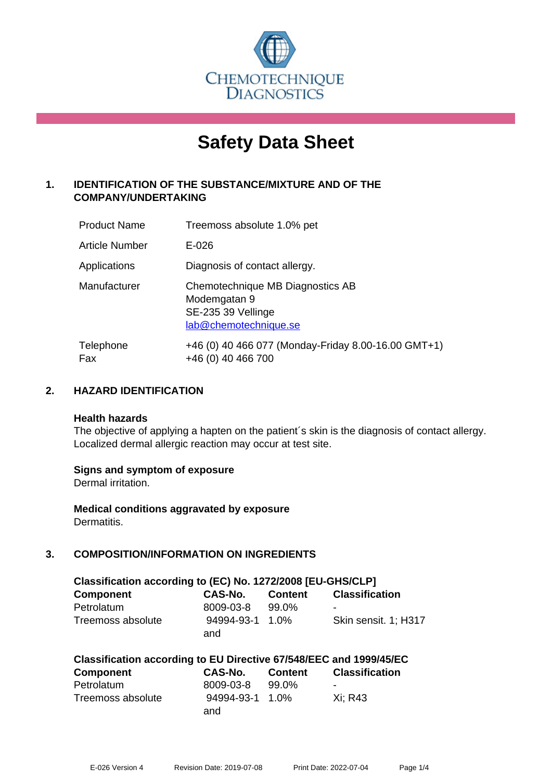

# **Safety Data Sheet**

#### **1. IDENTIFICATION OF THE SUBSTANCE/MIXTURE AND OF THE COMPANY/UNDERTAKING**

| <b>Product Name</b>   | Treemoss absolute 1.0% pet                                                                      |
|-----------------------|-------------------------------------------------------------------------------------------------|
| <b>Article Number</b> | $E - 026$                                                                                       |
| Applications          | Diagnosis of contact allergy.                                                                   |
| Manufacturer          | Chemotechnique MB Diagnostics AB<br>Modemgatan 9<br>SE-235 39 Vellinge<br>lab@chemotechnique.se |
| Telephone<br>Fax      | +46 (0) 40 466 077 (Monday-Friday 8.00-16.00 GMT+1)<br>+46 (0) 40 466 700                       |

#### **2. HAZARD IDENTIFICATION**

#### **Health hazards**

The objective of applying a hapten on the patient's skin is the diagnosis of contact allergy. Localized dermal allergic reaction may occur at test site.

#### **Signs and symptom of exposure**

Dermal irritation.

**Medical conditions aggravated by exposure** Dermatitis.

#### **3. COMPOSITION/INFORMATION ON INGREDIENTS**

| Classification according to (EC) No. 1272/2008 [EU-GHS/CLP] |                 |                |                       |  |
|-------------------------------------------------------------|-----------------|----------------|-----------------------|--|
| <b>Component</b>                                            | CAS-No.         | <b>Content</b> | <b>Classification</b> |  |
| Petrolatum                                                  | 8009-03-8       | 99.0%          | -                     |  |
| Treemoss absolute                                           | 94994-93-1 1.0% |                | Skin sensit. 1; H317  |  |
|                                                             | and             |                |                       |  |

| Classification according to EU Directive 67/548/EEC and 1999/45/EC |                 |         |                       |  |
|--------------------------------------------------------------------|-----------------|---------|-----------------------|--|
| Component                                                          | <b>CAS-No.</b>  | Content | <b>Classification</b> |  |
| Petrolatum                                                         | 8009-03-8       | 99.0%   |                       |  |
| Treemoss absolute                                                  | 94994-93-1 1.0% |         | Xi: R43               |  |
|                                                                    | and             |         |                       |  |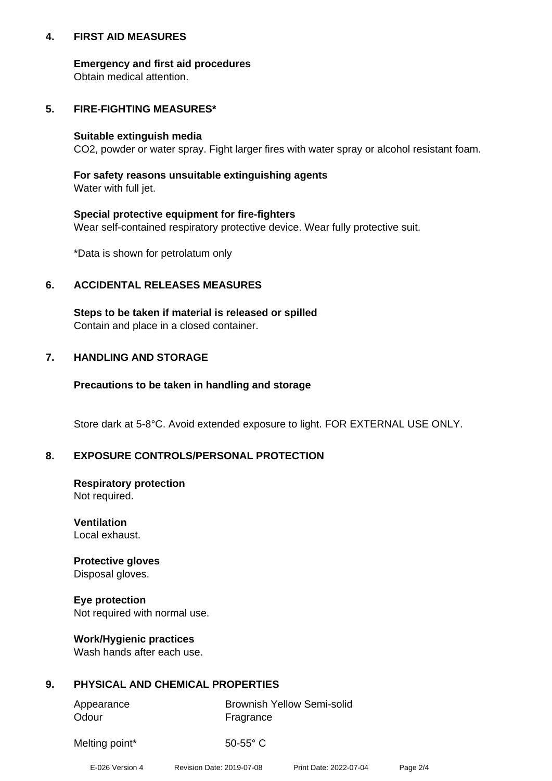#### **4. FIRST AID MEASURES**

#### **Emergency and first aid procedures**

Obtain medical attention.

#### **5. FIRE-FIGHTING MEASURES\***

#### **Suitable extinguish media**

CO2, powder or water spray. Fight larger fires with water spray or alcohol resistant foam.

#### **For safety reasons unsuitable extinguishing agents**

Water with full jet.

#### **Special protective equipment for fire-fighters**

Wear self-contained respiratory protective device. Wear fully protective suit.

\*Data is shown for petrolatum only

#### **6. ACCIDENTAL RELEASES MEASURES**

**Steps to be taken if material is released or spilled** Contain and place in a closed container.

#### **7. HANDLING AND STORAGE**

#### **Precautions to be taken in handling and storage**

Store dark at 5-8°C. Avoid extended exposure to light. FOR EXTERNAL USE ONLY.

#### **8. EXPOSURE CONTROLS/PERSONAL PROTECTION**

### **Respiratory protection**

Not required.

#### **Ventilation** Local exhaust.

#### **Protective gloves** Disposal gloves.

**Eye protection** Not required with normal use.

#### **Work/Hygienic practices**

Wash hands after each use.

#### **9. PHYSICAL AND CHEMICAL PROPERTIES**

| Appearance | <b>Brownish Yellow Semi-solid</b> |
|------------|-----------------------------------|
| Odour      | Fragrance                         |

Melting point\* 50-55° C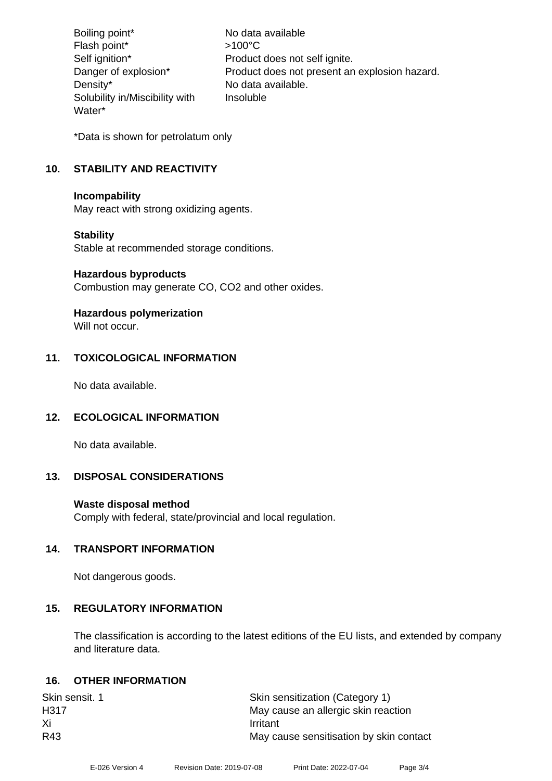Boiling point\* No data available Flash point\*  $>100^{\circ}$ C Self ignition\* Product does not self ignite. Danger of explosion\* Product does not present an explosion hazard. Density\* No data available. Solubility in/Miscibility with Water\* Insoluble

\*Data is shown for petrolatum only

#### **10. STABILITY AND REACTIVITY**

#### **Incompability**

May react with strong oxidizing agents.

#### **Stability**

Stable at recommended storage conditions.

#### **Hazardous byproducts**

Combustion may generate CO, CO2 and other oxides.

## **Hazardous polymerization**

Will not occur.

#### **11. TOXICOLOGICAL INFORMATION**

No data available.

#### **12. ECOLOGICAL INFORMATION**

No data available.

#### **13. DISPOSAL CONSIDERATIONS**

#### **Waste disposal method**

Comply with federal, state/provincial and local regulation.

#### **14. TRANSPORT INFORMATION**

Not dangerous goods.

#### **15. REGULATORY INFORMATION**

The classification is according to the latest editions of the EU lists, and extended by company and literature data.

#### **16. OTHER INFORMATION**

| Skin sensitization (Category 1)         |
|-----------------------------------------|
| May cause an allergic skin reaction     |
| Irritant                                |
| May cause sensitisation by skin contact |
|                                         |